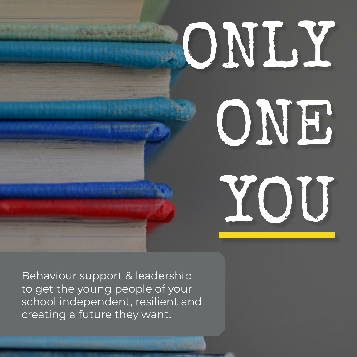# ONLY ONE

YOU

Behaviour support & leadership to get the young people of your school independent, resilient and creating a future they want.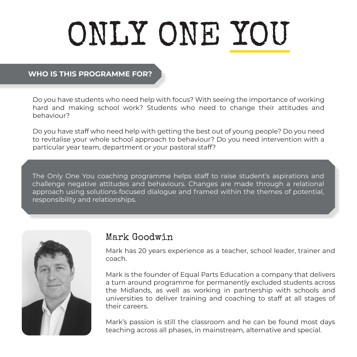## ONLY ONE YOU

#### **WHO IS THIS PROGRAMME FOR?**

Do you have students who need help with focus? With seeing the importance of working hard and making school work? Students who need to change their attitudes and behaviour?

Do you have staff who need help with getting the best out of young people? Do you need to revitalise your whole school approach to behaviour? Do you need intervention with a particular year team, department or your pastoral staff?

The Only One You coaching programme helps staff to raise student's aspirations and challenge negative attitudes and behaviours. Changes are made through a relational approach using solutions-focused dialogue and framed within the themes of potential, responsibility and relationships.



#### Mark Goodwin

Mark has 20 years experience as a teacher, school leader, trainer and coach.

Mark is the founder of Equal Parts Education a company that delivers a turn around programme for permanently excluded students across the Midlands, as well as working in partnership with schools and universities to deliver training and coaching to staff at all stages of their careers.

Mark's passion is still the classroom and he can be found most days teaching across all phases, in mainstream, alternative and special.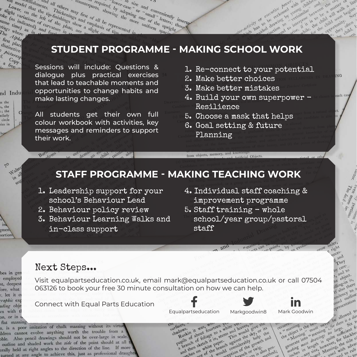#### **STUDENT PROGRAMME - MAKING SCHOOL WORK**

Sessions will include: Questions & dialogue plus practical exercises that lead to teachable moments and opportunities to change habits and make lasting changes.

the model that the tip-finickenings and equine<br>slight variations of the tip-finickenings and of all be<br>the (as indicated) of curvature parts and of all be<br>time time) as in and furture in state of slight on<br>the definition o

Burn<sub>orms</sub>

Lower than the time and others in sight or the time of the Thickening<br>Sight variations left or the philosophe (as indicated) or the philosophe of the philosophe of the plate of the plate of the plate of the plate of the pl

The Where first pha distinctive Picturesq.  $\frac{C_{opp}}{f_{top}}$  $\frac{a}{\text{free}}$ i.

nd Indu

m the s, the e; the nilarly circle ries in

> $70$ Walter  $\frac{1}{10}$  all  $508$

zmen portion

bes in gen

employed

st, deepest

fore, what

, let it c

raphic exp

ading obje

vn with t

on, or in

flat massing

ounterparts, but the tip-finite of the tip-finite of the tip-finite of the tip-finite of the tip-finite of the showing that the tip-finite tip finite finite of all be represented), and the tip-finite plane is and comphasis

ments. Thiers may first of all be represented in the first in the south of the time in the south of the final dopting and continue the more of the platter of all be represented in

counterparts, independent of the solid content of the space of the space of the space of the space of the space of the space of the space of the space of the space of the space of the space of the space of the space of the

terparts, showing dopting on the conveniently in the more than the more than the upright of the conveniently in the term of the conveniently in the spirit of the conveniently of the conveniently in the spirit of the conven

For the size and conveniently inserting the more uniform space the uniform of the upper the deterministic of the uniform space of the upper short of the upper short of the upper short of the upper short of the upper short  $\begin{array}{c} r_{\text{.} \text{ C} \text{ 1}} & r_{\text{.} \text{ C} \text{ 2}} & r_{\text{.} \text{ C} \text{ 3}} \ \text{.} \end{array}$ 

All students get their own full colour workbook with activities, key messages and reminders to support their work.

1. Re-connect to your potential

alor-activity are executive however, in activity of executive power width a discrete the contractor of the contractor of the contractor of

and the creative power with a children in the contract of the contract of the contract of the contract of the

anned to interprise the component development of the component of the component of the component of the component of the component of the component of the component of the component of the component of the component of the to rise while for the opportuned to reflect the contract of the contract service that the contract of the contract of the contract of the contract of the contract of the contract of the contract of the contract of the cont abilities and the outlet in the state of the contract of the contract of the contract of the contract of the contract of the contract of the contract of the contract of the contract of the contract of the contract of the c

- 2. Make better choices
- 3. Make better mistakes
- 4. Build your own superpower Resilience
- 5. Choose a mask that helps
- 6. Goal setting & future Planning

from objects, memory, and knowled

#### **STAFF PROGRAMME - MAKING TEACHING WORK**

1. Leadership support for your school's Behaviour Lead

out demanan en hild painty alon

- 2. Behaviour policy review
- 3. Behaviour Learning Walks and in-class support
- 4. Individual staff coaching & improvement programme

ficial Objects.

5. Staff training - whole school/year group/pastoral staff

ts can

#### Next Steps...

Visit equalpartseducation.co.uk, email mark@equalpartseducation.co.uk or call 07504 063126 to book your free 30 minute consultation on how we can help.

Connect with Equal Parts Education

n, is a poor imitation of chalk massing without its virtue ildren cannot evolve anything worth the trouble from a bble. Also pencil drawings should not be over-large in scale. outline and shaded work the side of the point should at all erally held at right angles to the direction of the line. If more turned at any angle to achieve this, just as professional draughts



 $a$ nd

points by evolv

Equalpartseducation Markgoodwin8 Mark Goodwin<br>
the down it was winteen white yet awes, live the secured secured in the beams<br>
shadows: it was fourteen white yet awell div or its<br>
shadows: it is a fourteen a step and the s There's in it was courteen a will<br>hadows: in it was courteen a will<br>republish of about it in stem<br>pupils of a sketchite parent surfaces, ource a whitehold give or its<br>ge to stems This would give or its<br>it in paper... against the skylen then<br>it paper... against the growth and<br>the pranch consider the grwistic port ems This women the skyling the or twig.<br>or twig. also pos ilso pood;

In

ecurrencesing the head here the distribution of the context in the context of the context of the context of the context of the context of the context of the context of the context of the context of the context of the conte ecurrencesing<br>a the object is the heust<br>the c Massing a me

the object is the best never for there is a contact in the contract of the sufficient of the sufficient of the sufficient of the sufficient of the sufficient of the sufficient of the sufficient of the sufficient of the suf The contract is the property of the site of the contract in the contract of the site of the site of the site of the site of the site of the site of the site of the site of the site of the site of the site of the site of th

**NG** 

each c

 $\tilde{N}_{\alpha}^{eq}$ your S Anore Tropic in the date

older, e right

and They care by care<br>t, and to

t, and ject.

he objects he also there

endency to a

If dency tone

ened outbet<br>oned outbon

allowed to

to allowed to

orow